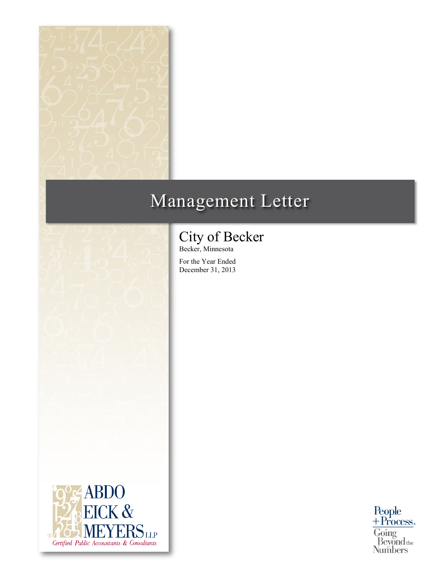

# Management Letter



Becker, Minnesota

For the Year Ended December 31, 2013



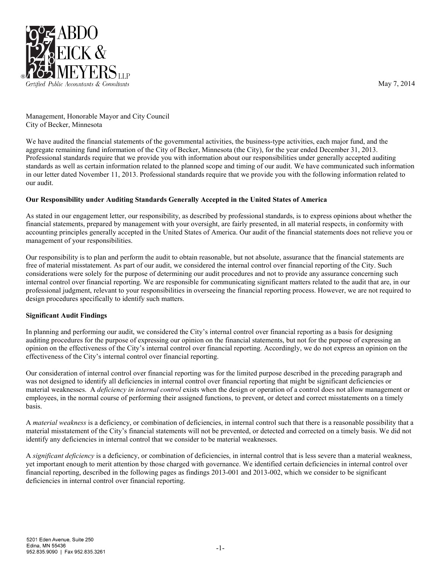

May 7, 2014

Management, Honorable Mayor and City Council City of Becker, Minnesota

We have audited the financial statements of the governmental activities, the business-type activities, each major fund, and the aggregate remaining fund information of the City of Becker, Minnesota (the City), for the year ended December 31, 2013. Professional standards require that we provide you with information about our responsibilities under generally accepted auditing standards as well as certain information related to the planned scope and timing of our audit. We have communicated such information in our letter dated November 11, 2013. Professional standards require that we provide you with the following information related to our audit.

# **Our Responsibility under Auditing Standards Generally Accepted in the United States of America**

As stated in our engagement letter, our responsibility, as described by professional standards, is to express opinions about whether the financial statements, prepared by management with your oversight, are fairly presented, in all material respects, in conformity with accounting principles generally accepted in the United States of America. Our audit of the financial statements does not relieve you or management of your responsibilities.

Our responsibility is to plan and perform the audit to obtain reasonable, but not absolute, assurance that the financial statements are free of material misstatement. As part of our audit, we considered the internal control over financial reporting of the City. Such considerations were solely for the purpose of determining our audit procedures and not to provide any assurance concerning such internal control over financial reporting. We are responsible for communicating significant matters related to the audit that are, in our professional judgment, relevant to your responsibilities in overseeing the financial reporting process. However, we are not required to design procedures specifically to identify such matters.

# **Significant Audit Findings**

In planning and performing our audit, we considered the City's internal control over financial reporting as a basis for designing auditing procedures for the purpose of expressing our opinion on the financial statements, but not for the purpose of expressing an opinion on the effectiveness of the City's internal control over financial reporting. Accordingly, we do not express an opinion on the effectiveness of the City's internal control over financial reporting.

Our consideration of internal control over financial reporting was for the limited purpose described in the preceding paragraph and was not designed to identify all deficiencies in internal control over financial reporting that might be significant deficiencies or material weaknesses. A *deficiency in internal control* exists when the design or operation of a control does not allow management or employees, in the normal course of performing their assigned functions, to prevent, or detect and correct misstatements on a timely basis.

A *material weakness* is a deficiency, or combination of deficiencies, in internal control such that there is a reasonable possibility that a material misstatement of the City's financial statements will not be prevented, or detected and corrected on a timely basis. We did not identify any deficiencies in internal control that we consider to be material weaknesses.

A *significant deficiency* is a deficiency, or combination of deficiencies, in internal control that is less severe than a material weakness, yet important enough to merit attention by those charged with governance. We identified certain deficiencies in internal control over financial reporting, described in the following pages as findings 2013-001 and 2013-002, which we consider to be significant deficiencies in internal control over financial reporting.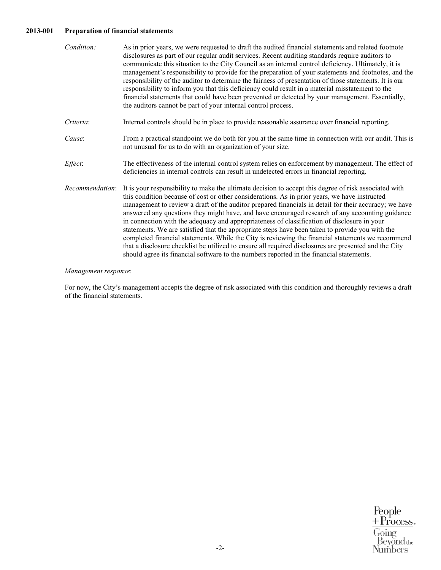# **2013-001 Preparation of financial statements**

| Condition:      | As in prior years, we were requested to draft the audited financial statements and related footnote<br>disclosures as part of our regular audit services. Recent auditing standards require auditors to<br>communicate this situation to the City Council as an internal control deficiency. Ultimately, it is<br>management's responsibility to provide for the preparation of your statements and footnotes, and the<br>responsibility of the auditor to determine the fairness of presentation of those statements. It is our<br>responsibility to inform you that this deficiency could result in a material misstatement to the<br>financial statements that could have been prevented or detected by your management. Essentially,<br>the auditors cannot be part of your internal control process.                                                                                                                      |
|-----------------|--------------------------------------------------------------------------------------------------------------------------------------------------------------------------------------------------------------------------------------------------------------------------------------------------------------------------------------------------------------------------------------------------------------------------------------------------------------------------------------------------------------------------------------------------------------------------------------------------------------------------------------------------------------------------------------------------------------------------------------------------------------------------------------------------------------------------------------------------------------------------------------------------------------------------------|
| Criteria:       | Internal controls should be in place to provide reasonable assurance over financial reporting.                                                                                                                                                                                                                                                                                                                                                                                                                                                                                                                                                                                                                                                                                                                                                                                                                                 |
| Cause:          | From a practical standpoint we do both for you at the same time in connection with our audit. This is<br>not unusual for us to do with an organization of your size.                                                                                                                                                                                                                                                                                                                                                                                                                                                                                                                                                                                                                                                                                                                                                           |
| Effect:         | The effectiveness of the internal control system relies on enforcement by management. The effect of<br>deficiencies in internal controls can result in undetected errors in financial reporting.                                                                                                                                                                                                                                                                                                                                                                                                                                                                                                                                                                                                                                                                                                                               |
| Recommendation: | It is your responsibility to make the ultimate decision to accept this degree of risk associated with<br>this condition because of cost or other considerations. As in prior years, we have instructed<br>management to review a draft of the auditor prepared financials in detail for their accuracy; we have<br>answered any questions they might have, and have encouraged research of any accounting guidance<br>in connection with the adequacy and appropriateness of classification of disclosure in your<br>statements. We are satisfied that the appropriate steps have been taken to provide you with the<br>completed financial statements. While the City is reviewing the financial statements we recommend<br>that a disclosure checklist be utilized to ensure all required disclosures are presented and the City<br>should agree its financial software to the numbers reported in the financial statements. |

# *Management response*:

For now, the City's management accepts the degree of risk associated with this condition and thoroughly reviews a draft of the financial statements.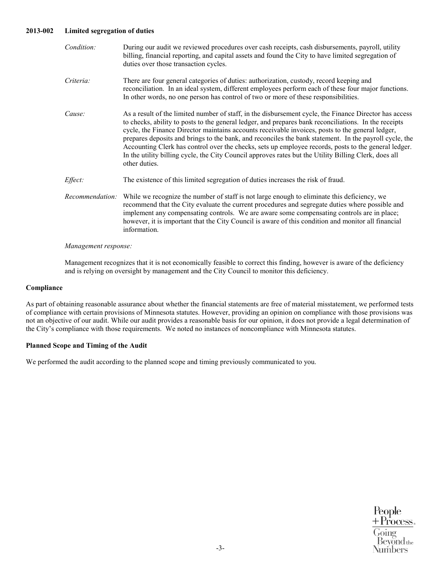# **2013-002 Limited segregation of duties**

| Condition:      | During our audit we reviewed procedures over cash receipts, cash disbursements, payroll, utility<br>billing, financial reporting, and capital assets and found the City to have limited segregation of<br>duties over those transaction cycles.                                                                                                                                                                                                                                                                                                                                                                                                                 |
|-----------------|-----------------------------------------------------------------------------------------------------------------------------------------------------------------------------------------------------------------------------------------------------------------------------------------------------------------------------------------------------------------------------------------------------------------------------------------------------------------------------------------------------------------------------------------------------------------------------------------------------------------------------------------------------------------|
| Criteria:       | There are four general categories of duties: authorization, custody, record keeping and<br>reconciliation. In an ideal system, different employees perform each of these four major functions.<br>In other words, no one person has control of two or more of these responsibilities.                                                                                                                                                                                                                                                                                                                                                                           |
| Cause:          | As a result of the limited number of staff, in the disbursement cycle, the Finance Director has access<br>to checks, ability to posts to the general ledger, and prepares bank reconciliations. In the receipts<br>cycle, the Finance Director maintains accounts receivable invoices, posts to the general ledger,<br>prepares deposits and brings to the bank, and reconciles the bank statement. In the payroll cycle, the<br>Accounting Clerk has control over the checks, sets up employee records, posts to the general ledger.<br>In the utility billing cycle, the City Council approves rates but the Utility Billing Clerk, does all<br>other duties. |
| Effect:         | The existence of this limited segregation of duties increases the risk of fraud.                                                                                                                                                                                                                                                                                                                                                                                                                                                                                                                                                                                |
| Recommendation: | While we recognize the number of staff is not large enough to eliminate this deficiency, we<br>recommend that the City evaluate the current procedures and segregate duties where possible and<br>implement any compensating controls. We are aware some compensating controls are in place;<br>however, it is important that the City Council is aware of this condition and monitor all financial<br>information.                                                                                                                                                                                                                                             |

#### *Management response:*

Management recognizes that it is not economically feasible to correct this finding, however is aware of the deficiency and is relying on oversight by management and the City Council to monitor this deficiency.

# **Compliance**

As part of obtaining reasonable assurance about whether the financial statements are free of material misstatement, we performed tests of compliance with certain provisions of Minnesota statutes. However, providing an opinion on compliance with those provisions was not an objective of our audit. While our audit provides a reasonable basis for our opinion, it does not provide a legal determination of the City's compliance with those requirements. We noted no instances of noncompliance with Minnesota statutes.

#### **Planned Scope and Timing of the Audit**

We performed the audit according to the planned scope and timing previously communicated to you.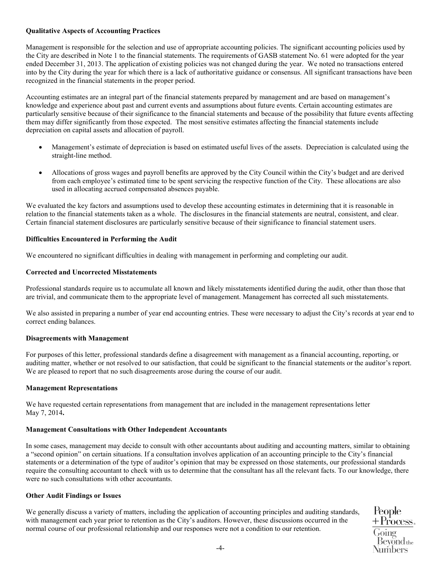# **Qualitative Aspects of Accounting Practices**

Management is responsible for the selection and use of appropriate accounting policies. The significant accounting policies used by the City are described in Note 1 to the financial statements. The requirements of GASB statement No. 61 were adopted for the year ended December 31, 2013. The application of existing policies was not changed during the year. We noted no transactions entered into by the City during the year for which there is a lack of authoritative guidance or consensus. All significant transactions have been recognized in the financial statements in the proper period.

Accounting estimates are an integral part of the financial statements prepared by management and are based on management's knowledge and experience about past and current events and assumptions about future events. Certain accounting estimates are particularly sensitive because of their significance to the financial statements and because of the possibility that future events affecting them may differ significantly from those expected. The most sensitive estimates affecting the financial statements include depreciation on capital assets and allocation of payroll.

- Management's estimate of depreciation is based on estimated useful lives of the assets. Depreciation is calculated using the straight-line method.
- Allocations of gross wages and payroll benefits are approved by the City Council within the City's budget and are derived from each employee's estimated time to be spent servicing the respective function of the City. These allocations are also used in allocating accrued compensated absences payable.

We evaluated the key factors and assumptions used to develop these accounting estimates in determining that it is reasonable in relation to the financial statements taken as a whole. The disclosures in the financial statements are neutral, consistent, and clear. Certain financial statement disclosures are particularly sensitive because of their significance to financial statement users.

# **Difficulties Encountered in Performing the Audit**

We encountered no significant difficulties in dealing with management in performing and completing our audit.

### **Corrected and Uncorrected Misstatements**

Professional standards require us to accumulate all known and likely misstatements identified during the audit, other than those that are trivial, and communicate them to the appropriate level of management. Management has corrected all such misstatements.

We also assisted in preparing a number of year end accounting entries. These were necessary to adjust the City's records at year end to correct ending balances.

# **Disagreements with Management**

For purposes of this letter, professional standards define a disagreement with management as a financial accounting, reporting, or auditing matter, whether or not resolved to our satisfaction, that could be significant to the financial statements or the auditor's report. We are pleased to report that no such disagreements arose during the course of our audit.

# **Management Representations**

We have requested certain representations from management that are included in the management representations letter May 7, 2014**.** 

#### **Management Consultations with Other Independent Accountants**

In some cases, management may decide to consult with other accountants about auditing and accounting matters, similar to obtaining a "second opinion" on certain situations. If a consultation involves application of an accounting principle to the City's financial statements or a determination of the type of auditor's opinion that may be expressed on those statements, our professional standards require the consulting accountant to check with us to determine that the consultant has all the relevant facts. To our knowledge, there were no such consultations with other accountants.

# **Other Audit Findings or Issues**

We generally discuss a variety of matters, including the application of accounting principles and auditing standards, with management each year prior to retention as the City's auditors. However, these discussions occurred in the normal course of our professional relationship and our responses were not a condition to our retention.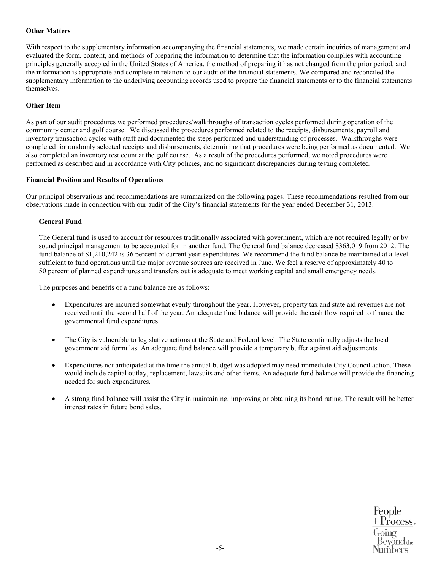# **Other Matters**

With respect to the supplementary information accompanying the financial statements, we made certain inquiries of management and evaluated the form, content, and methods of preparing the information to determine that the information complies with accounting principles generally accepted in the United States of America, the method of preparing it has not changed from the prior period, and the information is appropriate and complete in relation to our audit of the financial statements. We compared and reconciled the supplementary information to the underlying accounting records used to prepare the financial statements or to the financial statements themselves.

# **Other Item**

As part of our audit procedures we performed procedures/walkthroughs of transaction cycles performed during operation of the community center and golf course. We discussed the procedures performed related to the receipts, disbursements, payroll and inventory transaction cycles with staff and documented the steps performed and understanding of processes. Walkthroughs were completed for randomly selected receipts and disbursements, determining that procedures were being performed as documented. We also completed an inventory test count at the golf course. As a result of the procedures performed, we noted procedures were performed as described and in accordance with City policies, and no significant discrepancies during testing completed.

# **Financial Position and Results of Operations**

Our principal observations and recommendations are summarized on the following pages. These recommendations resulted from our observations made in connection with our audit of the City's financial statements for the year ended December 31, 2013.

# **General Fund**

The General fund is used to account for resources traditionally associated with government, which are not required legally or by sound principal management to be accounted for in another fund. The General fund balance decreased \$363,019 from 2012. The fund balance of \$1,210,242 is 36 percent of current year expenditures. We recommend the fund balance be maintained at a level sufficient to fund operations until the major revenue sources are received in June. We feel a reserve of approximately 40 to 50 percent of planned expenditures and transfers out is adequate to meet working capital and small emergency needs.

The purposes and benefits of a fund balance are as follows:

- Expenditures are incurred somewhat evenly throughout the year. However, property tax and state aid revenues are not received until the second half of the year. An adequate fund balance will provide the cash flow required to finance the governmental fund expenditures.
- The City is vulnerable to legislative actions at the State and Federal level. The State continually adjusts the local government aid formulas. An adequate fund balance will provide a temporary buffer against aid adjustments.
- Expenditures not anticipated at the time the annual budget was adopted may need immediate City Council action. These would include capital outlay, replacement, lawsuits and other items. An adequate fund balance will provide the financing needed for such expenditures.
- A strong fund balance will assist the City in maintaining, improving or obtaining its bond rating. The result will be better interest rates in future bond sales.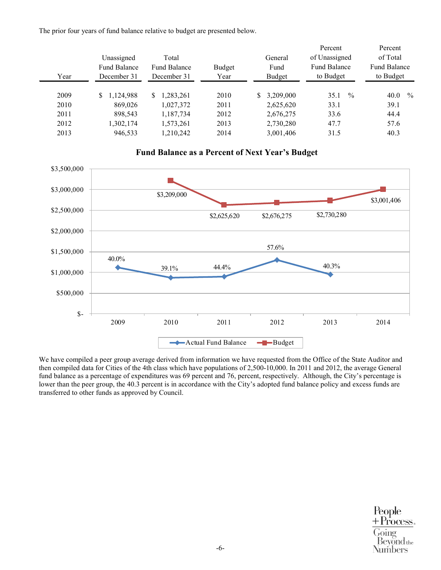The prior four years of fund balance relative to budget are presented below.

| Year | Unassigned<br><b>Fund Balance</b><br>December 31 | Total<br><b>Fund Balance</b><br>December 31 | <b>Budget</b><br>Year | General<br>Fund<br><b>Budget</b> | Percent<br>of Unassigned<br><b>Fund Balance</b><br>to Budget | Percent<br>of Total<br><b>Fund Balance</b><br>to Budget |
|------|--------------------------------------------------|---------------------------------------------|-----------------------|----------------------------------|--------------------------------------------------------------|---------------------------------------------------------|
| 2009 | ,124,988<br>S.                                   | 1,283,261<br>S.                             | 2010                  | \$3,209,000                      | $\%$<br>35.1                                                 | $\frac{0}{0}$<br>40.0                                   |
| 2010 | 869,026                                          | 1,027,372                                   | 2011                  | 2,625,620                        | 33.1                                                         | 39.1                                                    |
| 2011 | 898,543                                          | 1,187,734                                   | 2012                  | 2,676,275                        | 33.6                                                         | 44.4                                                    |
| 2012 | 1,302,174                                        | 1,573,261                                   | 2013                  | 2,730,280                        | 47.7                                                         | 57.6                                                    |
| 2013 | 946,533                                          | 1,210,242                                   | 2014                  | 3,001,406                        | 31.5                                                         | 40.3                                                    |

**Fund Balance as a Percent of Next Year's Budget**

# 40.0% 39.1% 44.4% 57.6% 40.3% \$3,209,000 \$2,625,620 \$2,676,275 \$2,730,280 \$3,001,406 \$- \$500,000 \$1,000,000 \$1,500,000 \$2,000,000 \$2,500,000 \$3,000,000 \$3,500,000 2009 2010 2011 2012 2013 2014 Actual Fund Balance -Budget

We have compiled a peer group average derived from information we have requested from the Office of the State Auditor and then compiled data for Cities of the 4th class which have populations of 2,500-10,000. In 2011 and 2012, the average General fund balance as a percentage of expenditures was 69 percent and 76, percent, respectively. Although, the City's percentage is lower than the peer group, the 40.3 percent is in accordance with the City's adopted fund balance policy and excess funds are transferred to other funds as approved by Council.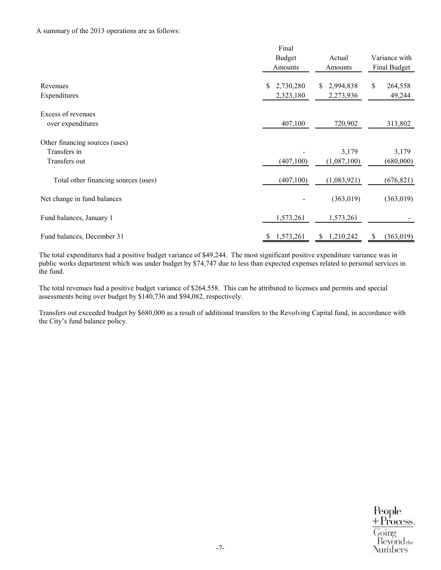### A summary of the 2013 operations are as follows:

|                                      | Final           |                 |                  |
|--------------------------------------|-----------------|-----------------|------------------|
|                                      | <b>Budget</b>   | Actual          | Variance with    |
|                                      | Amounts         | Amounts         | Final Budget     |
|                                      |                 |                 |                  |
| Revenues                             | 2,730,280<br>\$ | 2,994,838<br>S. | \$<br>264,558    |
| Expenditures                         | 2,323,180       | 2,273,936       | 49,244           |
| Excess of revenues                   |                 |                 |                  |
| over expenditures                    | 407,100         | 720,902         | 313,802          |
|                                      |                 |                 |                  |
| Other financing sources (uses)       |                 |                 |                  |
| Transfers in                         |                 | 3,179           | 3,179            |
| Transfers out                        | (407,100)       | (1,087,100)     | (680,000)        |
|                                      |                 |                 |                  |
| Total other financing sources (uses) | (407, 100)      | (1,083,921)     | (676, 821)       |
| Net change in fund balances          |                 | (363, 019)      | (363,019)        |
|                                      |                 |                 |                  |
| Fund balances, January 1             | 1,573,261       | 1,573,261       |                  |
|                                      |                 |                 |                  |
| Fund balances, December 31           | 1,573,261<br>S  | 1,210,242<br>S  | (363, 019)<br>\$ |

The total expenditures had a positive budget variance of \$49,244. The most significant positive expenditure variance was in public works department which was under budget by \$74,747 due to less than expected expenses related to personal services in the fund.

The total revenues had a positive budget variance of \$264,558. This can be attributed to licenses and permits and special assessments being over budget by \$140,736 and \$94,082, respectively.

Transfers out exceeded budget by \$680,000 as a result of additional transfers to the Revolving Capital fund, in accordance with the City's fund balance policy.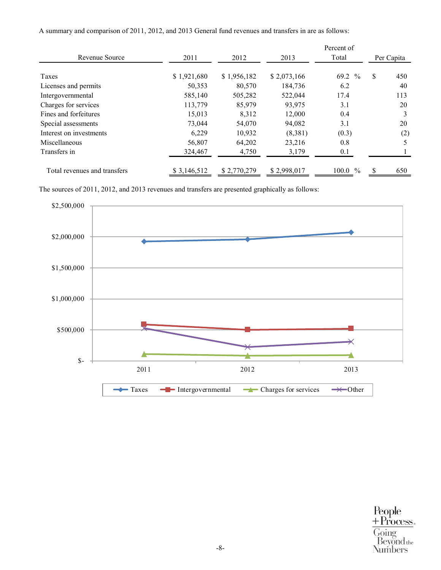|                              |             |             |             | Percent of             |            |     |
|------------------------------|-------------|-------------|-------------|------------------------|------------|-----|
| Revenue Source               | 2011        | 2012        | 2013        | Total                  | Per Capita |     |
| Taxes                        | \$1,921,680 | \$1,956,182 | \$2,073,166 | 69.2 %                 | \$         | 450 |
| Licenses and permits         | 50,353      | 80,570      | 184,736     | 6.2                    |            | 40  |
| Intergovernmental            | 585,140     | 505,282     | 522,044     | 17.4                   |            | 113 |
| Charges for services         | 113,779     | 85,979      | 93,975      | 3.1                    |            | 20  |
| Fines and forfeitures        | 15,013      | 8.312       | 12,000      | 0.4                    |            | 3   |
| Special assessments          | 73,044      | 54,070      | 94,082      | 3.1                    |            | 20  |
| Interest on investments      | 6,229       | 10,932      | (8,381)     | (0.3)                  |            | (2) |
| Miscellaneous                | 56,807      | 64,202      | 23,216      | 0.8                    |            | 5   |
| Transfers in                 | 324,467     | 4,750       | 3,179       | 0.1                    |            |     |
| Total revenues and transfers | \$3,146,512 | \$2,770,279 | \$2,998,017 | 100.0<br>$\frac{0}{0}$ | S.         | 650 |

A summary and comparison of 2011, 2012, and 2013 General fund revenues and transfers in are as follows:

The sources of 2011, 2012, and 2013 revenues and transfers are presented graphically as follows:

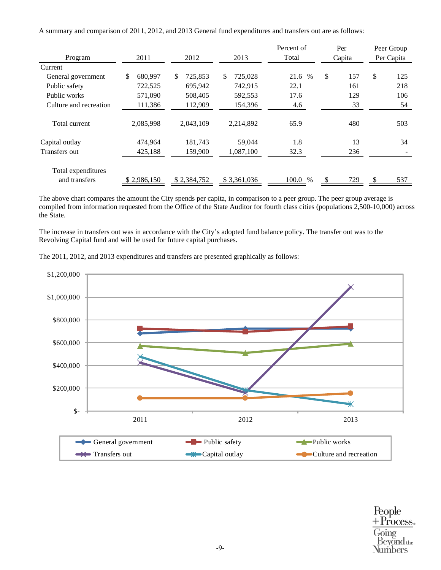A summary and comparison of 2011, 2012, and 2013 General fund expenditures and transfers out are as follows:

|                        |                |                          |                | Percent of   |              | Per    |            | Peer Group |  |
|------------------------|----------------|--------------------------|----------------|--------------|--------------|--------|------------|------------|--|
| Program                | 2011           | 2012                     | 2013           | Total        |              | Capita | Per Capita |            |  |
| Current                |                |                          |                |              |              |        |            |            |  |
| General government     | \$.<br>680.997 | <sup>\$</sup><br>725,853 | \$.<br>725,028 | 21.6<br>$\%$ | $\mathbb{S}$ | 157    | \$         | 125        |  |
| Public safety          | 722,525        | 695,942                  | 742,915        | 22.1         |              | 161    |            | 218        |  |
| Public works           | 571,090        | 508,405                  | 592,553        | 17.6         |              | 129    |            | 106        |  |
| Culture and recreation | 111,386        | 112,909                  | 154,396        | 4.6          |              | 33     |            | 54         |  |
|                        |                |                          |                |              |              |        |            |            |  |
| Total current          | 2,085,998      | 2,043,109                | 2,214,892      | 65.9         |              | 480    |            | 503        |  |
| Capital outlay         | 474,964        | 181,743                  | 59,044         | 1.8          |              | 13     |            | 34         |  |
| Transfers out          | 425,188        | 159,900                  | 1,087,100      | 32.3         |              | 236    |            |            |  |
|                        |                |                          |                |              |              |        |            |            |  |
| Total expenditures     |                |                          |                |              |              |        |            |            |  |
| and transfers          | \$2,986,150    | \$2,384,752              | \$3,361,036    | 100.0 %      |              | 729    |            | 537        |  |

The above chart compares the amount the City spends per capita, in comparison to a peer group. The peer group average is compiled from information requested from the Office of the State Auditor for fourth class cities (populations 2,500-10,000) across the State.

The increase in transfers out was in accordance with the City's adopted fund balance policy. The transfer out was to the Revolving Capital fund and will be used for future capital purchases.





 $\begin{array}{l} \text{People} \\ + \text{Process}. \end{array}$ Going  $\operatorname{Bevond}$  the Numbers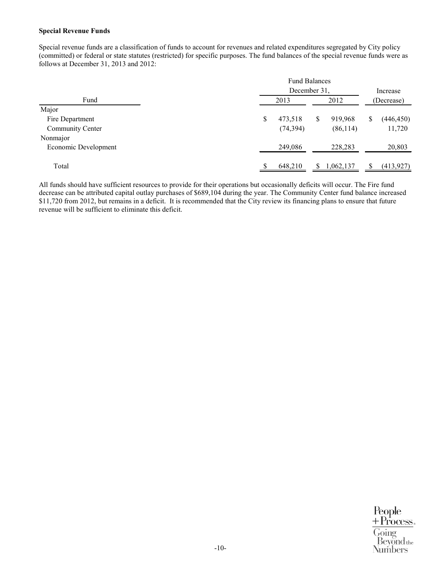### **Special Revenue Funds**

Special revenue funds are a classification of funds to account for revenues and related expenditures segregated by City policy (committed) or federal or state statutes (restricted) for specific purposes. The fund balances of the special revenue funds were as follows at December 31, 2013 and 2012:

| <b>Fund Balances</b> |           |      |           |            |            |  |  |
|----------------------|-----------|------|-----------|------------|------------|--|--|
| December 31,         |           |      |           |            |            |  |  |
| 2013                 |           | 2012 |           | (Decrease) |            |  |  |
|                      |           |      |           |            |            |  |  |
| \$                   | 473,518   | S.   | 919,968   | S          | (446, 450) |  |  |
|                      | (74, 394) |      | (86, 114) |            | 11,720     |  |  |
|                      |           |      |           |            |            |  |  |
|                      | 249,086   |      | 228,283   |            | 20,803     |  |  |
|                      |           |      |           |            |            |  |  |
|                      | 648,210   | S    | 1,062,137 |            | (413,927)  |  |  |
|                      |           |      |           |            | Increase   |  |  |

All funds should have sufficient resources to provide for their operations but occasionally deficits will occur. The Fire fund decrease can be attributed capital outlay purchases of \$689,104 during the year. The Community Center fund balance increased \$11,720 from 2012, but remains in a deficit. It is recommended that the City review its financing plans to ensure that future revenue will be sufficient to eliminate this deficit.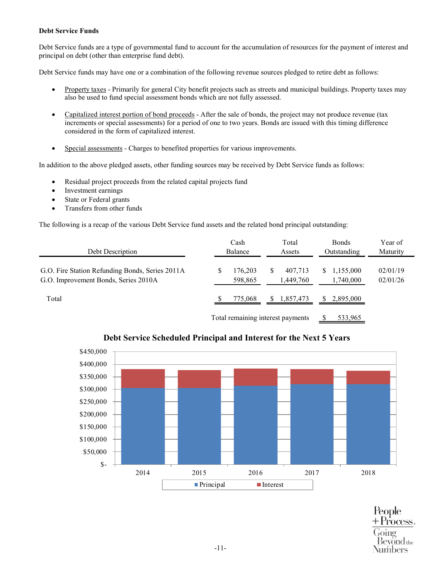# **Debt Service Funds**

Debt Service funds are a type of governmental fund to account for the accumulation of resources for the payment of interest and principal on debt (other than enterprise fund debt).

Debt Service funds may have one or a combination of the following revenue sources pledged to retire debt as follows:

- Property taxes Primarily for general City benefit projects such as streets and municipal buildings. Property taxes may also be used to fund special assessment bonds which are not fully assessed.
- Capitalized interest portion of bond proceeds After the sale of bonds, the project may not produce revenue (tax increments or special assessments) for a period of one to two years. Bonds are issued with this timing difference considered in the form of capitalized interest.
- Special assessments Charges to benefited properties for various improvements.

In addition to the above pledged assets, other funding sources may be received by Debt Service funds as follows:

- Residual project proceeds from the related capital projects fund
- Investment earnings
- State or Federal grants
- Transfers from other funds

The following is a recap of the various Debt Service fund assets and the related bond principal outstanding:

| Debt Description                                                                        |   | Cash<br>Balance                   |   | Total<br>Assets      |  | <b>Bonds</b><br>Outstanding | Year of<br>Maturity  |
|-----------------------------------------------------------------------------------------|---|-----------------------------------|---|----------------------|--|-----------------------------|----------------------|
| G.O. Fire Station Refunding Bonds, Series 2011A<br>G.O. Improvement Bonds, Series 2010A | S | 176.203<br>598,865                | S | 407,713<br>1,449,760 |  | 1,155,000<br>1,740,000      | 02/01/19<br>02/01/26 |
| Total                                                                                   |   | 775,068                           |   | \$1,857,473          |  | 2,895,000                   |                      |
|                                                                                         |   | Total remaining interest payments |   |                      |  | 533,965                     |                      |



# **Debt Service Scheduled Principal and Interest for the Next 5 Years**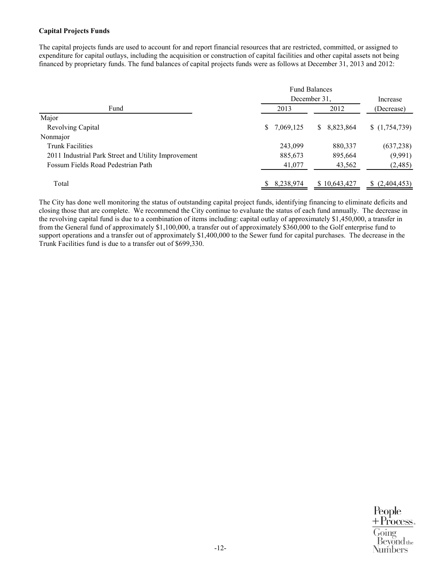# **Capital Projects Funds**

The capital projects funds are used to account for and report financial resources that are restricted, committed, or assigned to expenditure for capital outlays, including the acquisition or construction of capital facilities and other capital assets not being financed by proprietary funds. The fund balances of capital projects funds were as follows at December 31, 2013 and 2012:

|                                                     | <b>Fund Balances</b> |                 |                   |
|-----------------------------------------------------|----------------------|-----------------|-------------------|
|                                                     | December 31.         | Increase        |                   |
| Fund                                                | 2013                 | 2012            | (Decrease)        |
| Major                                               |                      |                 |                   |
| Revolving Capital                                   | \$7,069,125          | 8,823,864<br>S. | (1,754,739)       |
| Nonmajor                                            |                      |                 |                   |
| <b>Trunk Facilities</b>                             | 243,099              | 880,337         | (637, 238)        |
| 2011 Industrial Park Street and Utility Improvement | 885,673              | 895,664         | (9,991)           |
| Fossum Fields Road Pedestrian Path                  | 41,077               | 43,562          | (2,485)           |
| Total                                               | 8,238,974            | \$10,643,427    | (2,404,453)<br>S. |

The City has done well monitoring the status of outstanding capital project funds, identifying financing to eliminate deficits and closing those that are complete. We recommend the City continue to evaluate the status of each fund annually. The decrease in the revolving capital fund is due to a combination of items including: capital outlay of approximately \$1,450,000, a transfer in from the General fund of approximately \$1,100,000, a transfer out of approximately \$360,000 to the Golf enterprise fund to support operations and a transfer out of approximately \$1,400,000 to the Sewer fund for capital purchases. The decrease in the Trunk Facilities fund is due to a transfer out of \$699,330.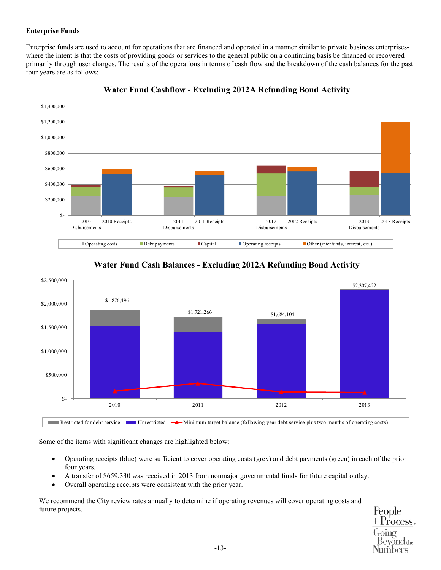# **Enterprise Funds**

Enterprise funds are used to account for operations that are financed and operated in a manner similar to private business enterpriseswhere the intent is that the costs of providing goods or services to the general public on a continuing basis be financed or recovered primarily through user charges. The results of the operations in terms of cash flow and the breakdown of the cash balances for the past four years are as follows:



**Water Fund Cashflow - Excluding 2012A Refunding Bond Activity** 

# **Water Fund Cash Balances - Excluding 2012A Refunding Bond Activity**



Some of the items with significant changes are highlighted below:

- Operating receipts (blue) were sufficient to cover operating costs (grey) and debt payments (green) in each of the prior four years.
- A transfer of \$659,330 was received in 2013 from nonmajor governmental funds for future capital outlay.
- Overall operating receipts were consistent with the prior year.

We recommend the City review rates annually to determine if operating revenues will cover operating costs and future projects.

People rocess.  $\operatorname{Sevond}$  the vumbers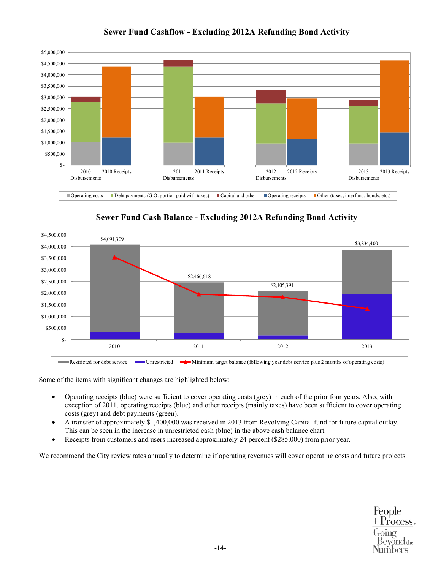

# **Sewer Fund Cashflow - Excluding 2012A Refunding Bond Activity**

**Sewer Fund Cash Balance - Excluding 2012A Refunding Bond Activity** 



Some of the items with significant changes are highlighted below:

- Operating receipts (blue) were sufficient to cover operating costs (grey) in each of the prior four years. Also, with exception of 2011, operating receipts (blue) and other receipts (mainly taxes) have been sufficient to cover operating costs (grey) and debt payments (green).
- A transfer of approximately \$1,400,000 was received in 2013 from Revolving Capital fund for future capital outlay. This can be seen in the increase in unrestricted cash (blue) in the above cash balance chart.
- Receipts from customers and users increased approximately 24 percent (\$285,000) from prior year.

We recommend the City review rates annually to determine if operating revenues will cover operating costs and future projects.

People + Process. oino  $\operatorname{Bevond}$ the vumbers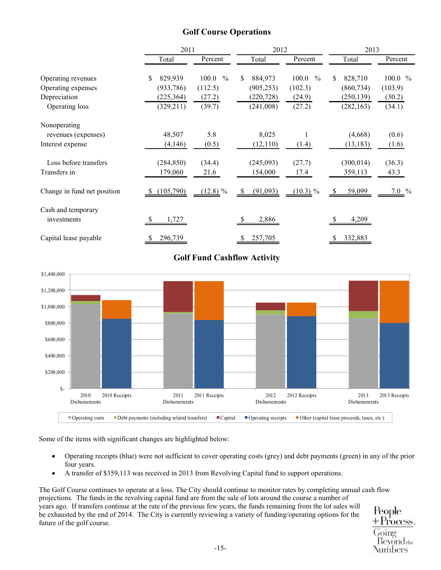# **Golf Course Operations**

|                             | 2011          |                        | 2012           |               | 2013          |         |
|-----------------------------|---------------|------------------------|----------------|---------------|---------------|---------|
|                             | Total         | Percent                | Total          | Percent       | Total         | Percent |
| Operating revenues          | 829,939<br>\$ | 100.0<br>$\frac{0}{0}$ | \$<br>884,973  | 100.0<br>$\%$ | 828,710<br>S. | 100.0 % |
| Operating expenses          | (933, 786)    | (112.5)                | (905, 253)     | (102.3)       | (860, 734)    | (103.9) |
| Depreciation                | (225, 364)    | (27.2)                 | (220, 728)     | (24.9)        | (250, 139)    | (30.2)  |
| Operating loss              | (329, 211)    | (39.7)                 | (241,008)      | (27.2)        | (282, 163)    | (34.1)  |
| Nonoperating                |               |                        |                |               |               |         |
| revenues (expenses)         | 48,507        | 5.8                    | 8,025          |               | (4,668)       | (0.6)   |
| Interest expense            | (4,146)       | (0.5)                  | (12, 110)      | (1.4)         | (13, 183)     | (1.6)   |
| Loss before transfers       | (284, 850)    | (34.4)                 | (245,093)      | (27.7)        | (300, 014)    | (36.3)  |
| Transfers in                | 179,060       | 21.6                   | 154,000        | 17.4          | 359,113       | 43.3    |
| Change in fund net position | (105,790)     | $(12.8)$ %             | (91,093)<br>-S | $(10.3)$ %    | 59,099<br>-S  | $7.0\%$ |
| Cash and temporary          |               |                        |                |               |               |         |
| investments                 | 1,727         |                        | 2,886          |               | 4,209         |         |
| Capital lease payable       | 296,739       |                        | 257,705        |               | 332,883       |         |

# **Golf Fund Cashflow Activity**



Some of the items with significant changes are highlighted below:

- Operating receipts (blue) were not sufficient to cover operating costs (grey) and debt payments (green) in any of the prior four years.
- A transfer of \$359,113 was received in 2013 from Revolving Capital fund to support operations.

The Golf Course continues to operate at a loss. The City should continue to monitor rates by completing annual cash flow projections. The funds in the revolving capital fund are from the sale of lots around the course a number of years ago. If transfers continue at the rate of the previous few years, the funds remaining from the lot sales will be exhausted by the end of 2014. The City is currently reviewing a variety of funding/operating options for the future of the golf course.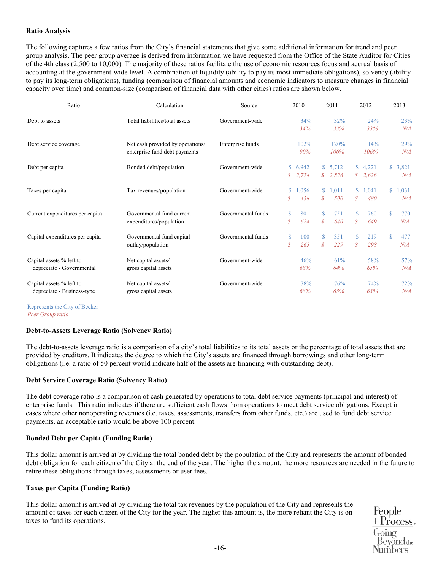# **Ratio Analysis**

The following captures a few ratios from the City's financial statements that give some additional information for trend and peer group analysis. The peer group average is derived from information we have requested from the Office of the State Auditor for Cities of the 4th class (2,500 to 10,000). The majority of these ratios facilitate the use of economic resources focus and accrual basis of accounting at the government-wide level. A combination of liquidity (ability to pay its most immediate obligations), solvency (ability to pay its long-term obligations), funding (comparison of financial amounts and economic indicators to measure changes in financial capacity over time) and common-size (comparison of financial data with other cities) ratios are shown below.

| Ratio                                                  | Calculation                                                       | Source             |                              | 2010           |                                  | 2011             |                               | 2012               |             | 2013           |
|--------------------------------------------------------|-------------------------------------------------------------------|--------------------|------------------------------|----------------|----------------------------------|------------------|-------------------------------|--------------------|-------------|----------------|
| Debt to assets                                         | Total liabilities/total assets                                    | Government-wide    |                              | 34%<br>34%     |                                  | 32%<br>33%       |                               | 24%<br>33%         |             | 23%<br>N/A     |
| Debt service coverage                                  | Net cash provided by operations/<br>enterprise fund debt payments | Enterprise funds   |                              | 102%<br>90%    |                                  | 120%<br>106%     |                               | 114%<br>106%       |             | 129%<br>N/A    |
| Debt per capita                                        | Bonded debt/population                                            | Government-wide    | \$<br>$\mathcal{S}^-$        | 6,942<br>2,774 | S.                               | \$5,712<br>2,826 |                               | \$4,221<br>\$2,626 |             | \$3,821<br>N/A |
| Taxes per capita                                       | Tax revenues/population                                           | Government-wide    | \$<br>S                      | 1,056<br>458   | $\mathbf S$<br>$\mathcal{S}_{0}$ | 1,011<br>500     | $\mathcal{S}$                 | \$1,041<br>480     |             | \$1,031<br>N/A |
| Current expenditures per capita                        | Governmental fund current<br>expenditures/population              | Governmental funds | \$<br>$\mathcal{S}$          | 801<br>624     | S<br>$\mathcal{S}_{0}$           | 751<br>640       | $\mathbb{S}$<br>$\mathcal{S}$ | 760<br>649         | $\mathbf S$ | 770<br>N/A     |
| Capital expenditures per capita                        | Governmental fund capital<br>outlay/population                    | Governmental funds | $\mathbf S$<br>$\mathcal{S}$ | 100<br>265     | $\mathbf S$<br>\$                | 351<br>229       | \$<br>$\mathcal{S}$           | 219<br>298         | $\mathbf S$ | 477<br>N/A     |
| Capital assets % left to<br>depreciate - Governmental  | Net capital assets/<br>gross capital assets                       | Government-wide    |                              | 46%<br>68%     |                                  | 61%<br>64%       |                               | 58%<br>65%         |             | 57%<br>N/A     |
| Capital assets % left to<br>depreciate - Business-type | Net capital assets/<br>gross capital assets                       | Government-wide    |                              | 78%<br>68%     |                                  | 76%<br>65%       |                               | 74%<br>63%         |             | 72%<br>N/A     |
| Represents the City of Becker                          |                                                                   |                    |                              |                |                                  |                  |                               |                    |             |                |

*Peer Group ratio*

# **Debt-to-Assets Leverage Ratio (Solvency Ratio)**

The debt-to-assets leverage ratio is a comparison of a city's total liabilities to its total assets or the percentage of total assets that are provided by creditors. It indicates the degree to which the City's assets are financed through borrowings and other long-term obligations (i.e. a ratio of 50 percent would indicate half of the assets are financing with outstanding debt).

# **Debt Service Coverage Ratio (Solvency Ratio)**

The debt coverage ratio is a comparison of cash generated by operations to total debt service payments (principal and interest) of enterprise funds. This ratio indicates if there are sufficient cash flows from operations to meet debt service obligations. Except in cases where other nonoperating revenues (i.e. taxes, assessments, transfers from other funds, etc.) are used to fund debt service payments, an acceptable ratio would be above 100 percent.

# **Bonded Debt per Capita (Funding Ratio)**

This dollar amount is arrived at by dividing the total bonded debt by the population of the City and represents the amount of bonded debt obligation for each citizen of the City at the end of the year. The higher the amount, the more resources are needed in the future to retire these obligations through taxes, assessments or user fees.

# **Taxes per Capita (Funding Ratio)**

This dollar amount is arrived at by dividing the total tax revenues by the population of the City and represents the amount of taxes for each citizen of the City for the year. The higher this amount is, the more reliant the City is on taxes to fund its operations.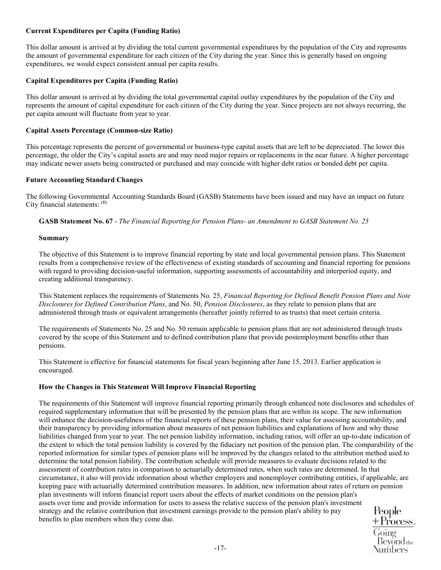# **Current Expenditures per Capita (Funding Ratio)**

This dollar amount is arrived at by dividing the total current governmental expenditures by the population of the City and represents the amount of governmental expenditure for each citizen of the City during the year. Since this is generally based on ongoing expenditures, we would expect consistent annual per capita results.

# **Capital Expenditures per Capita (Funding Ratio)**

This dollar amount is arrived at by dividing the total governmental capital outlay expenditures by the population of the City and represents the amount of capital expenditure for each citizen of the City during the year. Since projects are not always recurring, the per capita amount will fluctuate from year to year.

# **Capital Assets Percentage (Common-size Ratio)**

This percentage represents the percent of governmental or business-type capital assets that are left to be depreciated. The lower this percentage, the older the City's capital assets are and may need major repairs or replacements in the near future. A higher percentage may indicate newer assets being constructed or purchased and may coincide with higher debt ratios or bonded debt per capita.

# **Future Accounting Standard Changes**

The following Governmental Accounting Standards Board (GASB) Statements have been issued and may have an impact on future City financial statements: **(1)** 

**GASB Statement No. 67** - *The Financial Reporting for Pension Plans- an Amendment to GASB Statement No. 25*

# **Summary**

The objective of this Statement is to improve financial reporting by state and local governmental pension plans. This Statement results from a comprehensive review of the effectiveness of existing standards of accounting and financial reporting for pensions with regard to providing decision-useful information, supporting assessments of accountability and interperiod equity, and creating additional transparency.

This Statement replaces the requirements of Statements No. 25, *Financial Reporting for Defined Benefit Pension Plans and Note Disclosures for Defined Contribution Plans*, and No. 50, *Pension Disclosures*, as they relate to pension plans that are administered through trusts or equivalent arrangements (hereafter jointly referred to as trusts) that meet certain criteria.

The requirements of Statements No. 25 and No. 50 remain applicable to pension plans that are not administered through trusts covered by the scope of this Statement and to defined contribution plans that provide postemployment benefits other than pensions.

This Statement is effective for financial statements for fiscal years beginning after June 15, 2013. Earlier application is encouraged.

# **How the Changes in This Statement Will Improve Financial Reporting**

The requirements of this Statement will improve financial reporting primarily through enhanced note disclosures and schedules of required supplementary information that will be presented by the pension plans that are within its scope. The new information will enhance the decision-usefulness of the financial reports of these pension plans, their value for assessing accountability, and their transparency by providing information about measures of net pension liabilities and explanations of how and why those liabilities changed from year to year. The net pension liability information, including ratios, will offer an up-to-date indication of the extent to which the total pension liability is covered by the fiduciary net position of the pension plan. The comparability of the reported information for similar types of pension plans will be improved by the changes related to the attribution method used to determine the total pension liability. The contribution schedule will provide measures to evaluate decisions related to the assessment of contribution rates in comparison to actuarially determined rates, when such rates are determined. In that circumstance, it also will provide information about whether employers and nonemployer contributing entities, if applicable, are keeping pace with actuarially determined contribution measures. In addition, new information about rates of return on pension plan investments will inform financial report users about the effects of market conditions on the pension plan's assets over time and provide information for users to assess the relative success of the pension plan's investment strategy and the relative contribution that investment earnings provide to the pension plan's ability to pay People benefits to plan members when they come due.

 $+$  Process. <del>i</del>oing Bevond<sub>the</sub> Numbers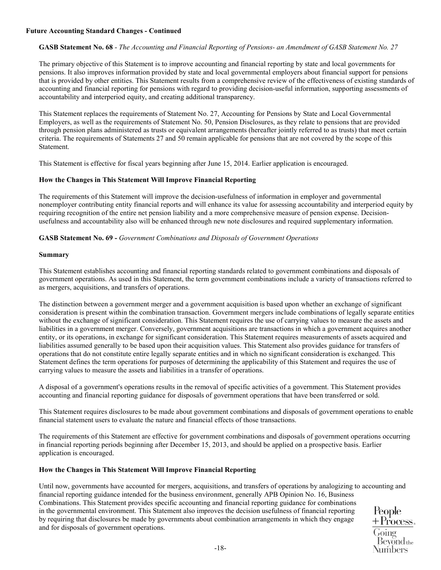# **Future Accounting Standard Changes - Continued**

# **GASB Statement No. 68** - *The Accounting and Financial Reporting of Pensions- an Amendment of GASB Statement No. 27*

The primary objective of this Statement is to improve accounting and financial reporting by state and local governments for pensions. It also improves information provided by state and local governmental employers about financial support for pensions that is provided by other entities. This Statement results from a comprehensive review of the effectiveness of existing standards of accounting and financial reporting for pensions with regard to providing decision-useful information, supporting assessments of accountability and interperiod equity, and creating additional transparency.

This Statement replaces the requirements of [Statement No. 27,](https://checkpoint.riag.com/app/main/docLinkNew?DocID=iGASB%3A841.2233&SrcDocId=T0GASB%3A1237.1-1&feature=ttoc&lastCpReqId=2203293) Accounting for Pensions by State and Local Governmental Employers, as well as the requirements of [Statement No. 50,](https://checkpoint.riag.com/app/main/docLinkNew?DocID=iGASB%3A932.1&SrcDocId=T0GASB%3A1237.1-1&feature=ttoc&lastCpReqId=2203293) Pension Disclosures, as they relate to pensions that are provided through pension plans administered as trusts or equivalent arrangements (hereafter jointly referred to as trusts) that meet certain criteria. The requirements of [Statements 27](https://checkpoint.riag.com/app/main/docLinkNew?DocID=iGASB%3A841.2233&SrcDocId=T0GASB%3A1237.1-1&feature=ttoc&lastCpReqId=2203293) and [50](https://checkpoint.riag.com/app/main/docLinkNew?DocID=iGASB%3A932.1&SrcDocId=T0GASB%3A1237.1-1&feature=ttoc&lastCpReqId=2203293) remain applicable for pensions that are not covered by the scope of this Statement.

This Statement is effective for fiscal years beginning after June 15, 2014. Earlier application is encouraged.

# **How the Changes in This Statement Will Improve Financial Reporting**

The requirements of this Statement will improve the decision-usefulness of information in employer and governmental nonemployer contributing entity financial reports and will enhance its value for assessing accountability and interperiod equity by requiring recognition of the entire net pension liability and a more comprehensive measure of pension expense. Decisionusefulness and accountability also will be enhanced through new note disclosures and required supplementary information.

# **GASB Statement No. 69 -** *Government Combinations and Disposals of Government Operations*

# **Summary**

This Statement establishes accounting and financial reporting standards related to government combinations and disposals of government operations. As used in this Statement, the term government combinations include a variety of transactions referred to as mergers, acquisitions, and transfers of operations.

The distinction between a government merger and a government acquisition is based upon whether an exchange of significant consideration is present within the combination transaction. Government mergers include combinations of legally separate entities without the exchange of significant consideration. This Statement requires the use of carrying values to measure the assets and liabilities in a government merger. Conversely, government acquisitions are transactions in which a government acquires another entity, or its operations, in exchange for significant consideration. This Statement requires measurements of assets acquired and liabilities assumed generally to be based upon their acquisition values. This Statement also provides guidance for transfers of operations that do not constitute entire legally separate entities and in which no significant consideration is exchanged. This Statement defines the term operations for purposes of determining the applicability of this Statement and requires the use of carrying values to measure the assets and liabilities in a transfer of operations.

A disposal of a government's operations results in the removal of specific activities of a government. This Statement provides accounting and financial reporting guidance for disposals of government operations that have been transferred or sold.

This Statement requires disclosures to be made about government combinations and disposals of government operations to enable financial statement users to evaluate the nature and financial effects of those transactions.

The requirements of this Statement are effective for government combinations and disposals of government operations occurring in financial reporting periods beginning after December 15, 2013, and should be applied on a prospective basis. Earlier application is encouraged.

# **How the Changes in This Statement Will Improve Financial Reporting**

Until now, governments have accounted for mergers, acquisitions, and transfers of operations by analogizing to accounting and financial reporting guidance intended for the business environment, generally APB Opinion No. 16, Business

Combinations. This Statement provides specific accounting and financial reporting guidance for combinations in the governmental environment. This Statement also improves the decision usefulness of financial reporting by requiring that disclosures be made by governments about combination arrangements in which they engage and for disposals of government operations.

People  $+$ Process.  $B$ evond<sub>the</sub> Numbers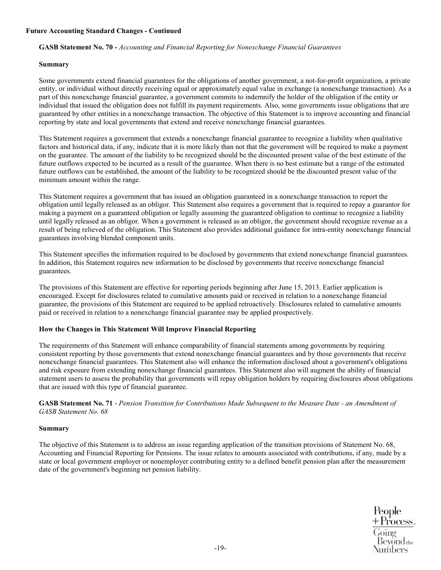# **Future Accounting Standard Changes - Continued**

# **GASB Statement No. 70 -** *Accounting and Financial Reporting for Nonexchange Financial Guarantees*

# **Summary**

Some governments extend financial guarantees for the obligations of another government, a not-for-profit organization, a private entity, or individual without directly receiving equal or approximately equal value in exchange (a nonexchange transaction). As a part of this nonexchange financial guarantee, a government commits to indemnify the holder of the obligation if the entity or individual that issued the obligation does not fulfill its payment requirements. Also, some governments issue obligations that are guaranteed by other entities in a nonexchange transaction. The objective of this Statement is to improve accounting and financial reporting by state and local governments that extend and receive nonexchange financial guarantees.

This Statement requires a government that extends a nonexchange financial guarantee to recognize a liability when qualitative factors and historical data, if any, indicate that it is more likely than not that the government will be required to make a payment on the guarantee. The amount of the liability to be recognized should be the discounted present value of the best estimate of the future outflows expected to be incurred as a result of the guarantee. When there is no best estimate but a range of the estimated future outflows can be established, the amount of the liability to be recognized should be the discounted present value of the minimum amount within the range.

This Statement requires a government that has issued an obligation guaranteed in a nonexchange transaction to report the obligation until legally released as an obligor. This Statement also requires a government that is required to repay a guarantor for making a payment on a guaranteed obligation or legally assuming the guaranteed obligation to continue to recognize a liability until legally released as an obligor. When a government is released as an obligor, the government should recognize revenue as a result of being relieved of the obligation. This Statement also provides additional guidance for intra-entity nonexchange financial guarantees involving blended component units.

This Statement specifies the information required to be disclosed by governments that extend nonexchange financial guarantees. In addition, this Statement requires new information to be disclosed by governments that receive nonexchange financial guarantees.

The provisions of this Statement are effective for reporting periods beginning after June 15, 2013. Earlier application is encouraged. Except for disclosures related to cumulative amounts paid or received in relation to a nonexchange financial guarantee, the provisions of this Statement are required to be applied retroactively. Disclosures related to cumulative amounts paid or received in relation to a nonexchange financial guarantee may be applied prospectively.

# **How the Changes in This Statement Will Improve Financial Reporting**

The requirements of this Statement will enhance comparability of financial statements among governments by requiring consistent reporting by those governments that extend nonexchange financial guarantees and by those governments that receive nonexchange financial guarantees. This Statement also will enhance the information disclosed about a government's obligations and risk exposure from extending nonexchange financial guarantees. This Statement also will augment the ability of financial statement users to assess the probability that governments will repay obligation holders by requiring disclosures about obligations that are issued with this type of financial guarantee.

**GASB Statement No. 71** - *Pension Transition for Contributions Made Subsequent to the Measure Date - an Amendment of GASB Statement No. 68*

# **Summary**

The objective of this Statement is to address an issue regarding application of the transition provisions of Statement No. 68, Accounting and Financial Reporting for Pensions. The issue relates to amounts associated with contributions, if any, made by a state or local government employer or nonemployer contributing entity to a defined benefit pension plan after the measurement date of the government's beginning net pension liability.

> People + Process. **Bevond** the Numbers